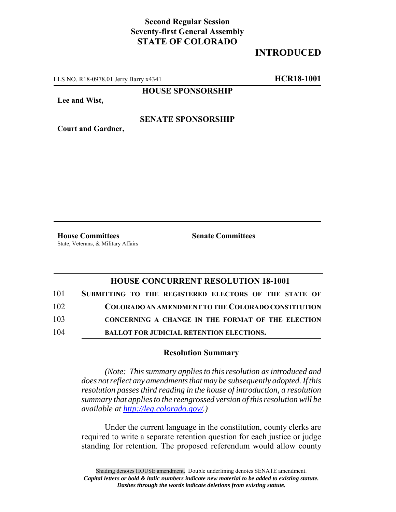# **Second Regular Session Seventy-first General Assembly STATE OF COLORADO**

# **INTRODUCED**

LLS NO. R18-0978.01 Jerry Barry x4341 **HCR18-1001**

**HOUSE SPONSORSHIP**

**Lee and Wist,**

#### **SENATE SPONSORSHIP**

**Court and Gardner,**

**House Committees Senate Committees** State, Veterans, & Military Affairs

### **HOUSE CONCURRENT RESOLUTION 18-1001**

| 101 | SUBMITTING TO THE REGISTERED ELECTORS OF THE STATE OF |
|-----|-------------------------------------------------------|
| 102 | COLORADO AN AMENDMENT TO THE COLORADO CONSTITUTION    |
| 103 | CONCERNING A CHANGE IN THE FORMAT OF THE ELECTION     |
| 104 | <b>BALLOT FOR JUDICIAL RETENTION ELECTIONS.</b>       |

#### **Resolution Summary**

*(Note: This summary applies to this resolution as introduced and does not reflect any amendments that may be subsequently adopted. If this resolution passes third reading in the house of introduction, a resolution summary that applies to the reengrossed version of this resolution will be available at http://leg.colorado.gov/.)*

Under the current language in the constitution, county clerks are required to write a separate retention question for each justice or judge standing for retention. The proposed referendum would allow county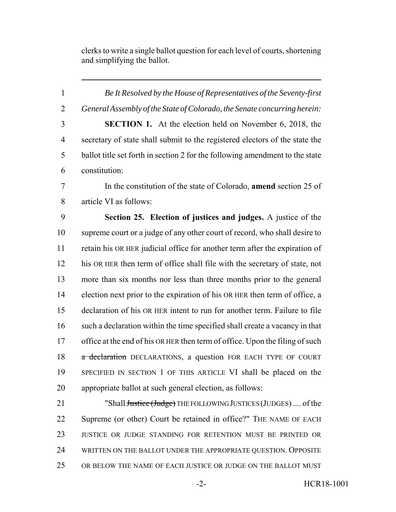clerks to write a single ballot question for each level of courts, shortening and simplifying the ballot.

 *Be It Resolved by the House of Representatives of the Seventy-first General Assembly of the State of Colorado, the Senate concurring herein:* **SECTION 1.** At the election held on November 6, 2018, the secretary of state shall submit to the registered electors of the state the ballot title set forth in section 2 for the following amendment to the state constitution: In the constitution of the state of Colorado, **amend** section 25 of article VI as follows: **Section 25. Election of justices and judges.** A justice of the supreme court or a judge of any other court of record, who shall desire to retain his OR HER judicial office for another term after the expiration of his OR HER then term of office shall file with the secretary of state, not more than six months nor less than three months prior to the general election next prior to the expiration of his OR HER then term of office, a declaration of his OR HER intent to run for another term. Failure to file such a declaration within the time specified shall create a vacancy in that 17 office at the end of his OR HER then term of office. Upon the filing of such 18 a declaration DECLARATIONS, a question FOR EACH TYPE OF COURT SPECIFIED IN SECTION 1 OF THIS ARTICLE VI shall be placed on the appropriate ballot at such general election, as follows: 21 "Shall <del>Justice (Judge)</del> THE FOLLOWING JUSTICES (JUDGES) .... of the Supreme (or other) Court be retained in office?" THE NAME OF EACH JUSTICE OR JUDGE STANDING FOR RETENTION MUST BE PRINTED OR WRITTEN ON THE BALLOT UNDER THE APPROPRIATE QUESTION. OPPOSITE